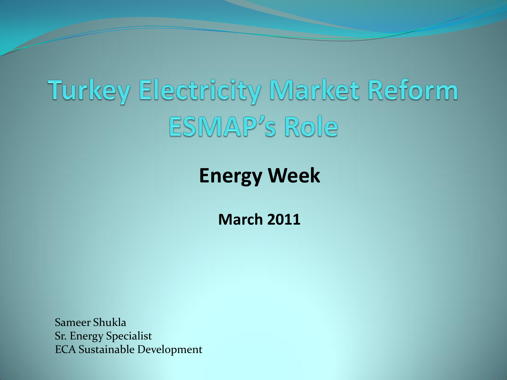# **Turkey Electricity Market Reform** ESMAP's Role

## **Energy Week**

**March 2011**

Sameer Shukla Sr. Energy Specialist ECA Sustainable Development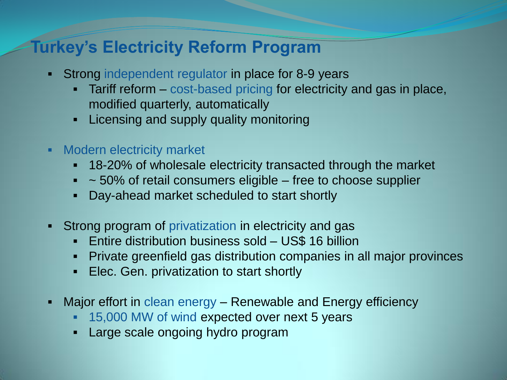#### **Turkey's Electricity Reform Program**

- Strong independent regulator in place for 8-9 years
	- Tariff reform cost-based pricing for electricity and gas in place, modified quarterly, automatically
	- **-** Licensing and supply quality monitoring
- **Nodern electricity market** 
	- 18-20% of wholesale electricity transacted through the market
	- $\sim$  50% of retail consumers eligible free to choose supplier
	- Day-ahead market scheduled to start shortly
- Strong program of privatization in electricity and gas
	- Entire distribution business sold US\$ 16 billion
	- Private greenfield gas distribution companies in all major provinces
	- **Elec. Gen. privatization to start shortly**
- Major effort in clean energy Renewable and Energy efficiency
	- 15,000 MW of wind expected over next 5 years
	- **Large scale ongoing hydro program**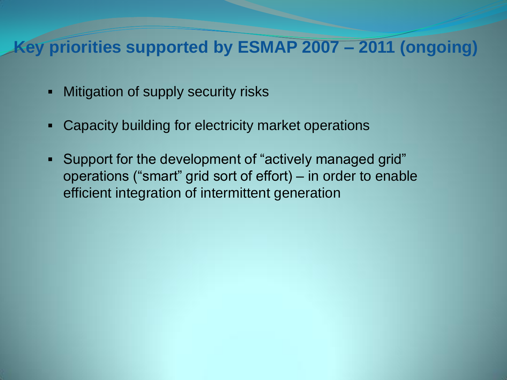### **Key priorities supported by ESMAP 2007 – 2011 (ongoing)**

- Mitigation of supply security risks
- Capacity building for electricity market operations
- Support for the development of "actively managed grid" operations ("smart" grid sort of effort) – in order to enable efficient integration of intermittent generation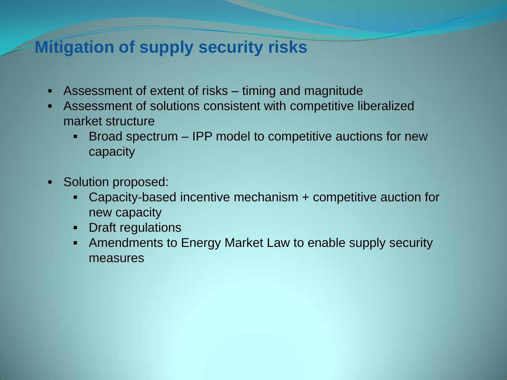#### **Mitigation of supply security risks**

- Assessment of extent of risks timing and magnitude
- Assessment of solutions consistent with competitive liberalized market structure
	- Broad spectrum IPP model to competitive auctions for new capacity
- Solution proposed:
	- Capacity-based incentive mechanism + competitive auction for new capacity
	- Draft regulations
	- Amendments to Energy Market Law to enable supply security measures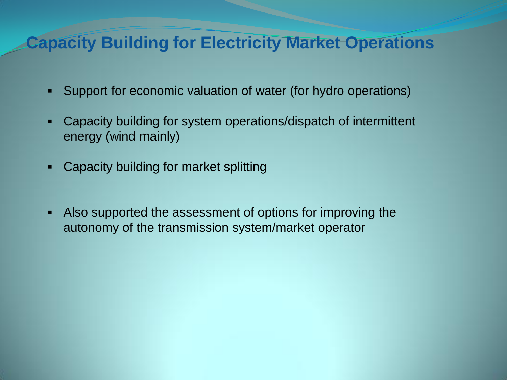#### **Capacity Building for Electricity Market Operations**

- Support for economic valuation of water (for hydro operations)
- Capacity building for system operations/dispatch of intermittent energy (wind mainly)
- Capacity building for market splitting
- Also supported the assessment of options for improving the autonomy of the transmission system/market operator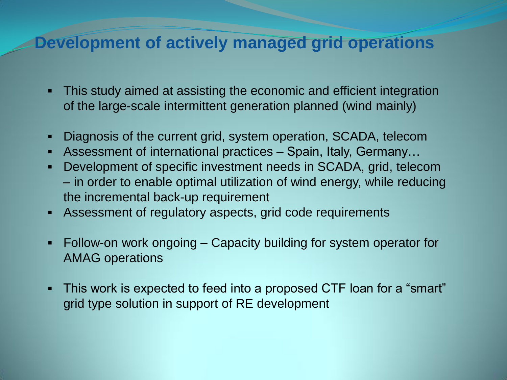#### **Development of actively managed grid operations**

- This study aimed at assisting the economic and efficient integration of the large-scale intermittent generation planned (wind mainly)
- Diagnosis of the current grid, system operation, SCADA, telecom
- Assessment of international practices Spain, Italy, Germany…
- Development of specific investment needs in SCADA, grid, telecom – in order to enable optimal utilization of wind energy, while reducing the incremental back-up requirement
- Assessment of regulatory aspects, grid code requirements
- Follow-on work ongoing Capacity building for system operator for AMAG operations
- This work is expected to feed into a proposed CTF loan for a "smart" grid type solution in support of RE development